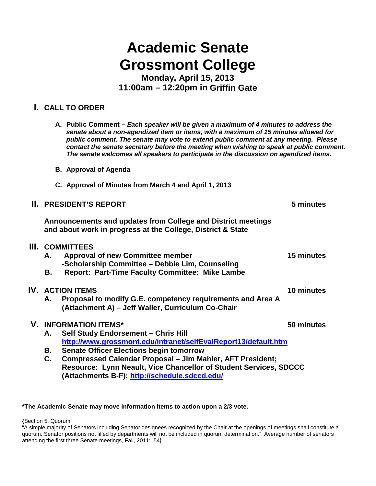# **Academic Senate Grossmont College**

**Monday, April 15, 2013 11:00am – 12:20pm in Griffin Gate**

# **I. CALL TO ORDER**

|                | A. Public Comment – Each speaker will be given a maximum of 4 minutes to address the<br>senate about a non-agendized item or items, with a maximum of 15 minutes allowed for<br>public comment. The senate may vote to extend public comment at any meeting. Please<br>contact the senate secretary before the meeting when wishing to speak at public comment.<br>The senate welcomes all speakers to participate in the discussion on agendized items. |                                                                                                                                                                                                                                                                                                                                                                                                                                                                                                                                                                                                                                                                                                                                                                                                                                                                                                                  |
|----------------|----------------------------------------------------------------------------------------------------------------------------------------------------------------------------------------------------------------------------------------------------------------------------------------------------------------------------------------------------------------------------------------------------------------------------------------------------------|------------------------------------------------------------------------------------------------------------------------------------------------------------------------------------------------------------------------------------------------------------------------------------------------------------------------------------------------------------------------------------------------------------------------------------------------------------------------------------------------------------------------------------------------------------------------------------------------------------------------------------------------------------------------------------------------------------------------------------------------------------------------------------------------------------------------------------------------------------------------------------------------------------------|
|                |                                                                                                                                                                                                                                                                                                                                                                                                                                                          |                                                                                                                                                                                                                                                                                                                                                                                                                                                                                                                                                                                                                                                                                                                                                                                                                                                                                                                  |
|                |                                                                                                                                                                                                                                                                                                                                                                                                                                                          |                                                                                                                                                                                                                                                                                                                                                                                                                                                                                                                                                                                                                                                                                                                                                                                                                                                                                                                  |
|                |                                                                                                                                                                                                                                                                                                                                                                                                                                                          | 5 minutes                                                                                                                                                                                                                                                                                                                                                                                                                                                                                                                                                                                                                                                                                                                                                                                                                                                                                                        |
|                |                                                                                                                                                                                                                                                                                                                                                                                                                                                          |                                                                                                                                                                                                                                                                                                                                                                                                                                                                                                                                                                                                                                                                                                                                                                                                                                                                                                                  |
| А.<br>В.       | <b>Report: Part-Time Faculty Committee: Mike Lambe</b>                                                                                                                                                                                                                                                                                                                                                                                                   | 15 minutes                                                                                                                                                                                                                                                                                                                                                                                                                                                                                                                                                                                                                                                                                                                                                                                                                                                                                                       |
| А.             |                                                                                                                                                                                                                                                                                                                                                                                                                                                          | 10 minutes                                                                                                                                                                                                                                                                                                                                                                                                                                                                                                                                                                                                                                                                                                                                                                                                                                                                                                       |
| А.<br>В.<br>C. |                                                                                                                                                                                                                                                                                                                                                                                                                                                          | 50 minutes                                                                                                                                                                                                                                                                                                                                                                                                                                                                                                                                                                                                                                                                                                                                                                                                                                                                                                       |
|                |                                                                                                                                                                                                                                                                                                                                                                                                                                                          | <b>B.</b> Approval of Agenda<br>C. Approval of Minutes from March 4 and April 1, 2013<br><b>II. PRESIDENT'S REPORT</b><br>Announcements and updates from College and District meetings<br>and about work in progress at the College, District & State<br><b>III. COMMITTEES</b><br><b>Approval of new Committee member</b><br>-Scholarship Committee - Debbie Lim, Counseling<br><b>IV. ACTION ITEMS</b><br>Proposal to modify G.E. competency requirements and Area A<br>(Attachment A) - Jeff Waller, Curriculum Co-Chair<br><b>V. INFORMATION ITEMS*</b><br>Self Study Endorsement - Chris Hill<br>http://www.grossmont.edu/intranet/selfEvalReport13/default.htm<br><b>Senate Officer Elections begin tomorrow</b><br><b>Compressed Calendar Proposal - Jim Mahler, AFT President;</b><br>Resource: Lynn Neault, Vice Chancellor of Student Services, SDCCC<br>(Attachments B-F); http://schedule.sdccd.edu/ |

#### **\*The Academic Senate may move information items to action upon a 2/3 vote.**

**{**Section 5. Quorum

"A simple majority of Senators including Senator designees recognized by the Chair at the openings of meetings shall constitute a quorum. Senator positions not filled by departments will not be included in quorum determination." Average number of senators attending the first three Senate meetings, Fall, 2011: 54}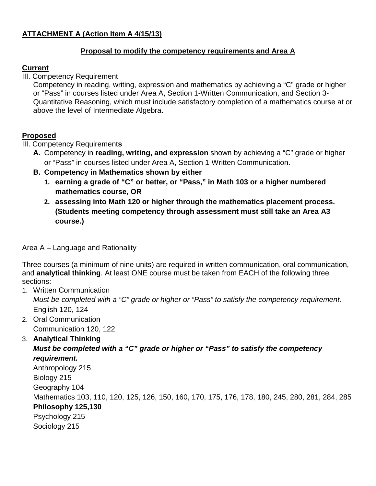## **ATTACHMENT A (Action Item A 4/15/13)**

#### **Proposal to modify the competency requirements and Area A**

#### **Current**

III. Competency Requirement

Competency in reading, writing, expression and mathematics by achieving a "C" grade or higher or "Pass" in courses listed under Area A, Section 1-Written Communication, and Section 3- Quantitative Reasoning, which must include satisfactory completion of a mathematics course at or above the level of Intermediate Algebra.

### **Proposed**

III. Competency Requirement**s**

- **A.** Competency in **reading, writing, and expression** shown by achieving a "C" grade or higher or "Pass" in courses listed under Area A, Section 1-Written Communication.
- **B. Competency in Mathematics shown by either**
	- **1. earning a grade of "C" or better, or "Pass," in Math 103 or a higher numbered mathematics course, OR**
	- **2. assessing into Math 120 or higher through the mathematics placement process. (Students meeting competency through assessment must still take an Area A3 course.)**

Area A – Language and Rationality

Three courses (a minimum of nine units) are required in written communication, oral communication, and **analytical thinking**. At least ONE course must be taken from EACH of the following three sections:

- 1. Written Communication *Must be completed with a "C" grade or higher or "Pass" to satisfy the competency requirement.* English 120, 124
- 2. Oral Communication Communication 120, 122
- 3. **Analytical Thinking**

*Must be completed with a "C" grade or higher or "Pass" to satisfy the competency requirement.*

Anthropology 215 Biology 215 Geography 104 Mathematics 103, 110, 120, 125, 126, 150, 160, 170, 175, 176, 178, 180, 245, 280, 281, 284, 285 **Philosophy 125,130** Psychology 215 Sociology 215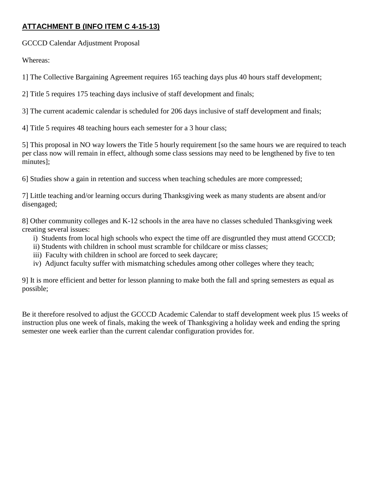# **ATTACHMENT B (INFO ITEM C 4-15-13)**

GCCCD Calendar Adjustment Proposal

Whereas:

1] The Collective Bargaining Agreement requires 165 teaching days plus 40 hours staff development;

2] Title 5 requires 175 teaching days inclusive of staff development and finals;

3] The current academic calendar is scheduled for 206 days inclusive of staff development and finals;

4] Title 5 requires 48 teaching hours each semester for a 3 hour class;

5] This proposal in NO way lowers the Title 5 hourly requirement [so the same hours we are required to teach per class now will remain in effect, although some class sessions may need to be lengthened by five to ten minutes];

6] Studies show a gain in retention and success when teaching schedules are more compressed;

7] Little teaching and/or learning occurs during Thanksgiving week as many students are absent and/or disengaged;

8] Other community colleges and K-12 schools in the area have no classes scheduled Thanksgiving week creating several issues:

- i) Students from local high schools who expect the time off are disgruntled they must attend GCCCD;
- ii) Students with children in school must scramble for childcare or miss classes;
- iii) Faculty with children in school are forced to seek daycare;
- iv) Adjunct faculty suffer with mismatching schedules among other colleges where they teach;

9] It is more efficient and better for lesson planning to make both the fall and spring semesters as equal as possible;

Be it therefore resolved to adjust the GCCCD Academic Calendar to staff development week plus 15 weeks of instruction plus one week of finals, making the week of Thanksgiving a holiday week and ending the spring semester one week earlier than the current calendar configuration provides for.